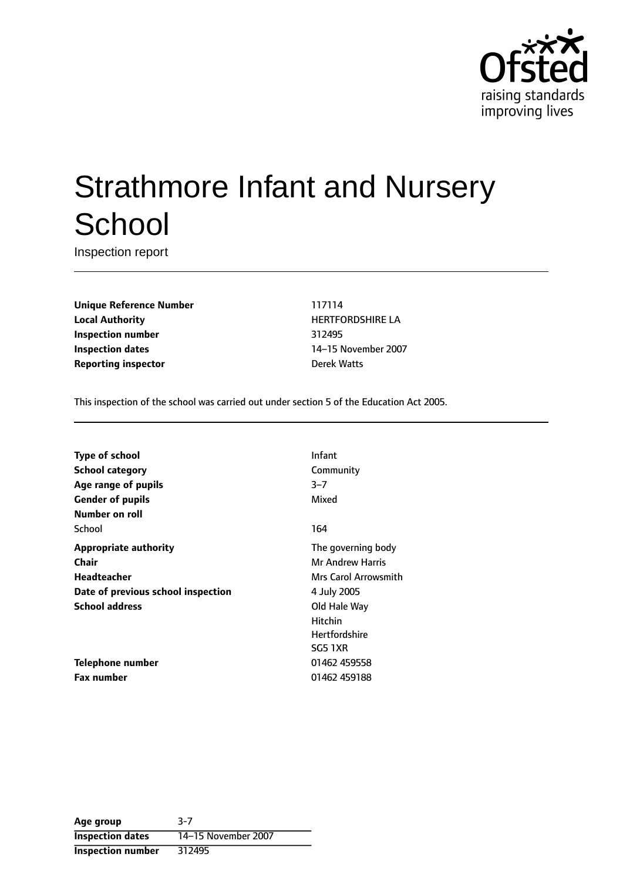

# Strathmore Infant and Nursery **School**

Inspection report

**Unique Reference Number** 117114 **Local Authority HERTFORDSHIRE LA Inspection number** 312495 **Inspection dates** 14-15 November 2007 **Reporting inspector Derek Watts** 

This inspection of the school was carried out under section 5 of the Education Act 2005.

| <b>Type of school</b>              | Infant                  |
|------------------------------------|-------------------------|
| <b>School category</b>             | Community               |
| Age range of pupils                | $3 - 7$                 |
| <b>Gender of pupils</b>            | Mixed                   |
| Number on roll                     |                         |
| School                             | 164                     |
| <b>Appropriate authority</b>       | The governing body      |
| Chair                              | <b>Mr Andrew Harris</b> |
| Headteacher                        | Mrs Carol Arrowsmith    |
| Date of previous school inspection | 4 July 2005             |
| <b>School address</b>              | Old Hale Way            |
|                                    | Hitchin                 |
|                                    | <b>Hertfordshire</b>    |
|                                    | <b>SG5 1XR</b>          |
| Telephone number                   | 01462 459558            |
| <b>Fax number</b>                  | 01462 459188            |

**Age group** 3-7 **Inspection dates** 14-15 November 2007 **Inspection number** 312495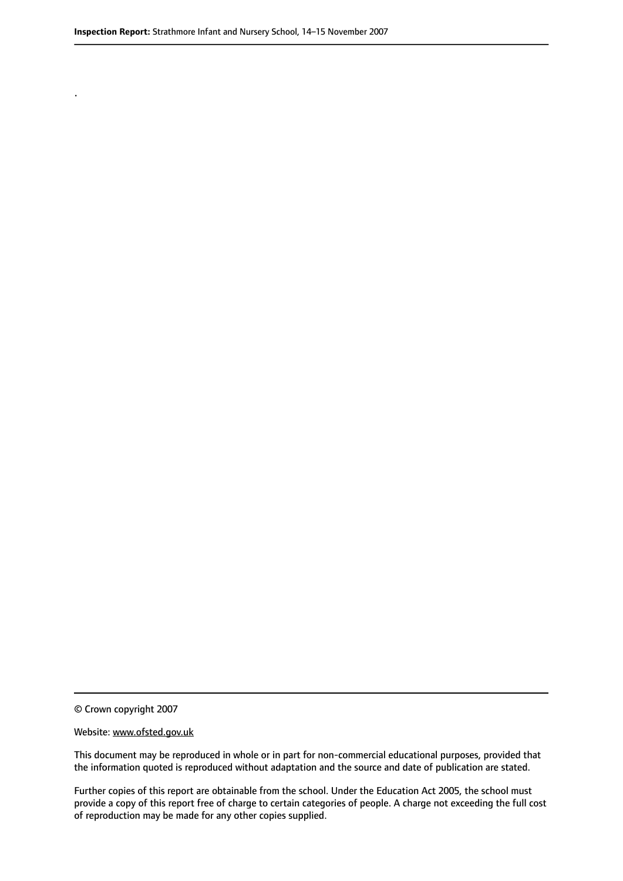.

© Crown copyright 2007

#### Website: www.ofsted.gov.uk

This document may be reproduced in whole or in part for non-commercial educational purposes, provided that the information quoted is reproduced without adaptation and the source and date of publication are stated.

Further copies of this report are obtainable from the school. Under the Education Act 2005, the school must provide a copy of this report free of charge to certain categories of people. A charge not exceeding the full cost of reproduction may be made for any other copies supplied.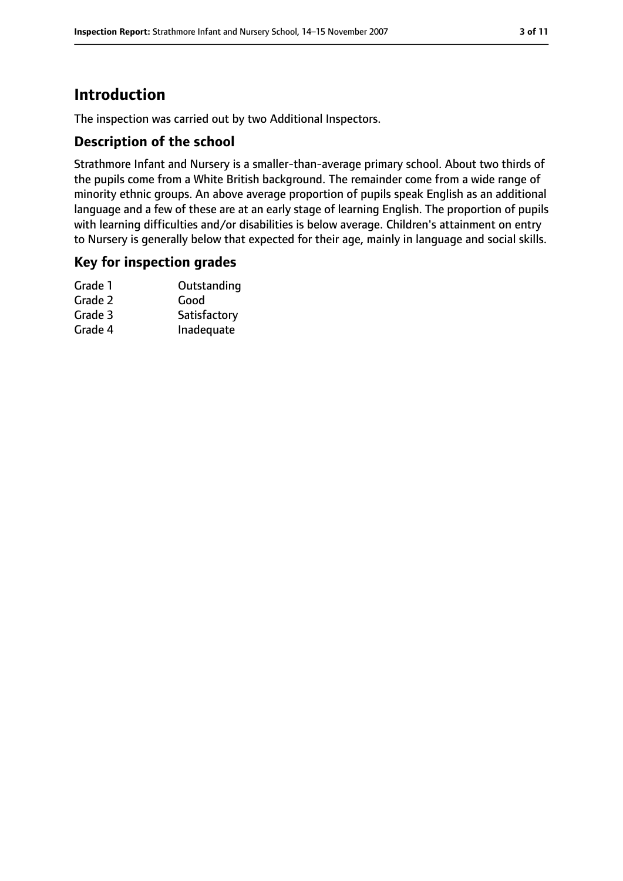# **Introduction**

The inspection was carried out by two Additional Inspectors.

### **Description of the school**

Strathmore Infant and Nursery is a smaller-than-average primary school. About two thirds of the pupils come from a White British background. The remainder come from a wide range of minority ethnic groups. An above average proportion of pupils speak English as an additional language and a few of these are at an early stage of learning English. The proportion of pupils with learning difficulties and/or disabilities is below average. Children's attainment on entry to Nursery is generally below that expected for their age, mainly in language and social skills.

#### **Key for inspection grades**

| Grade 1 | Outstanding  |
|---------|--------------|
| Grade 2 | Good         |
| Grade 3 | Satisfactory |
| Grade 4 | Inadequate   |
|         |              |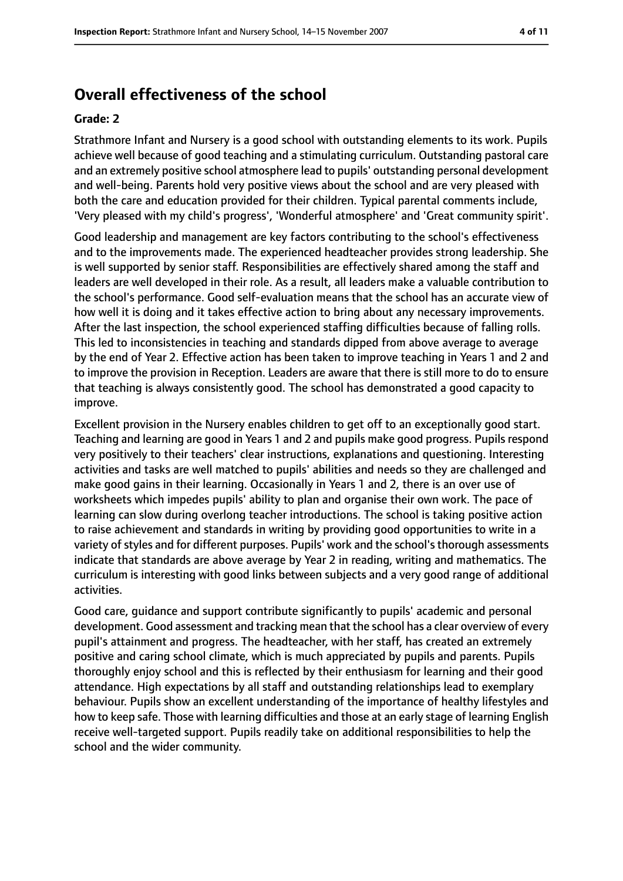# **Overall effectiveness of the school**

#### **Grade: 2**

Strathmore Infant and Nursery is a good school with outstanding elements to its work. Pupils achieve well because of good teaching and a stimulating curriculum. Outstanding pastoral care and an extremely positive school atmosphere lead to pupils' outstanding personal development and well-being. Parents hold very positive views about the school and are very pleased with both the care and education provided for their children. Typical parental comments include, 'Very pleased with my child's progress', 'Wonderful atmosphere' and 'Great community spirit'.

Good leadership and management are key factors contributing to the school's effectiveness and to the improvements made. The experienced headteacher provides strong leadership. She is well supported by senior staff. Responsibilities are effectively shared among the staff and leaders are well developed in their role. As a result, all leaders make a valuable contribution to the school's performance. Good self-evaluation means that the school has an accurate view of how well it is doing and it takes effective action to bring about any necessary improvements. After the last inspection, the school experienced staffing difficulties because of falling rolls. This led to inconsistencies in teaching and standards dipped from above average to average by the end of Year 2. Effective action has been taken to improve teaching in Years 1 and 2 and to improve the provision in Reception. Leaders are aware that there is still more to do to ensure that teaching is always consistently good. The school has demonstrated a good capacity to improve.

Excellent provision in the Nursery enables children to get off to an exceptionally good start. Teaching and learning are good in Years 1 and 2 and pupils make good progress. Pupils respond very positively to their teachers' clear instructions, explanations and questioning. Interesting activities and tasks are well matched to pupils' abilities and needs so they are challenged and make good gains in their learning. Occasionally in Years 1 and 2, there is an over use of worksheets which impedes pupils' ability to plan and organise their own work. The pace of learning can slow during overlong teacher introductions. The school is taking positive action to raise achievement and standards in writing by providing good opportunities to write in a variety of styles and for different purposes. Pupils' work and the school's thorough assessments indicate that standards are above average by Year 2 in reading, writing and mathematics. The curriculum is interesting with good links between subjects and a very good range of additional activities.

Good care, guidance and support contribute significantly to pupils' academic and personal development. Good assessment and tracking mean that the school has a clear overview of every pupil's attainment and progress. The headteacher, with her staff, has created an extremely positive and caring school climate, which is much appreciated by pupils and parents. Pupils thoroughly enjoy school and this is reflected by their enthusiasm for learning and their good attendance. High expectations by all staff and outstanding relationships lead to exemplary behaviour. Pupils show an excellent understanding of the importance of healthy lifestyles and how to keep safe. Those with learning difficulties and those at an early stage of learning English receive well-targeted support. Pupils readily take on additional responsibilities to help the school and the wider community.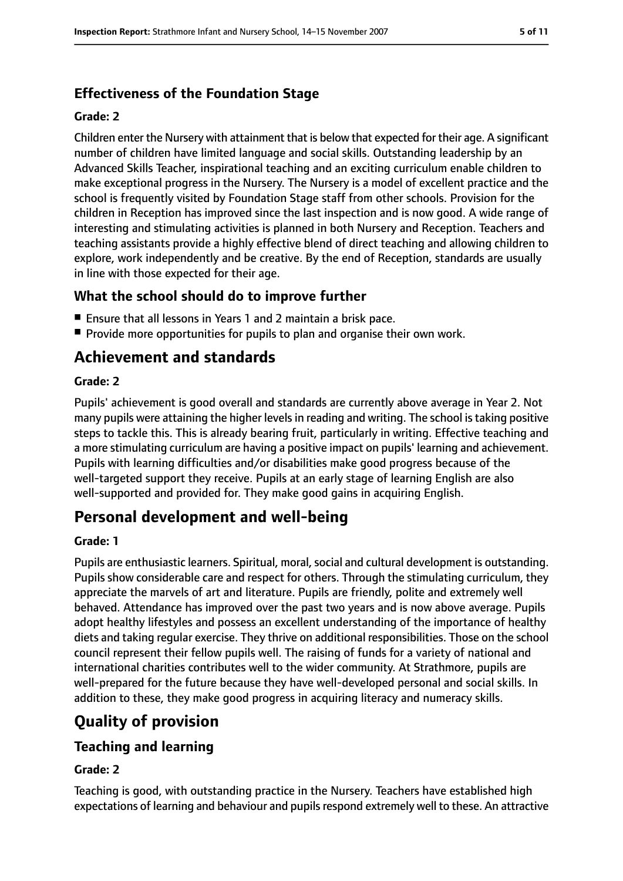# **Effectiveness of the Foundation Stage**

#### **Grade: 2**

Children enter the Nursery with attainment that is below that expected for their age. A significant number of children have limited language and social skills. Outstanding leadership by an Advanced Skills Teacher, inspirational teaching and an exciting curriculum enable children to make exceptional progress in the Nursery. The Nursery is a model of excellent practice and the school is frequently visited by Foundation Stage staff from other schools. Provision for the children in Reception has improved since the last inspection and is now good. A wide range of interesting and stimulating activities is planned in both Nursery and Reception. Teachers and teaching assistants provide a highly effective blend of direct teaching and allowing children to explore, work independently and be creative. By the end of Reception, standards are usually in line with those expected for their age.

## **What the school should do to improve further**

- Ensure that all lessons in Years 1 and 2 maintain a brisk pace.
- Provide more opportunities for pupils to plan and organise their own work.

# **Achievement and standards**

#### **Grade: 2**

Pupils' achievement is good overall and standards are currently above average in Year 2. Not many pupils were attaining the higher levels in reading and writing. The school is taking positive steps to tackle this. This is already bearing fruit, particularly in writing. Effective teaching and a more stimulating curriculum are having a positive impact on pupils' learning and achievement. Pupils with learning difficulties and/or disabilities make good progress because of the well-targeted support they receive. Pupils at an early stage of learning English are also well-supported and provided for. They make good gains in acquiring English.

# **Personal development and well-being**

#### **Grade: 1**

Pupils are enthusiastic learners. Spiritual, moral, social and cultural development is outstanding. Pupils show considerable care and respect for others. Through the stimulating curriculum, they appreciate the marvels of art and literature. Pupils are friendly, polite and extremely well behaved. Attendance has improved over the past two years and is now above average. Pupils adopt healthy lifestyles and possess an excellent understanding of the importance of healthy diets and taking regular exercise. They thrive on additional responsibilities. Those on the school council represent their fellow pupils well. The raising of funds for a variety of national and international charities contributes well to the wider community. At Strathmore, pupils are well-prepared for the future because they have well-developed personal and social skills. In addition to these, they make good progress in acquiring literacy and numeracy skills.

# **Quality of provision**

## **Teaching and learning**

#### **Grade: 2**

Teaching is good, with outstanding practice in the Nursery. Teachers have established high expectations of learning and behaviour and pupils respond extremely well to these. An attractive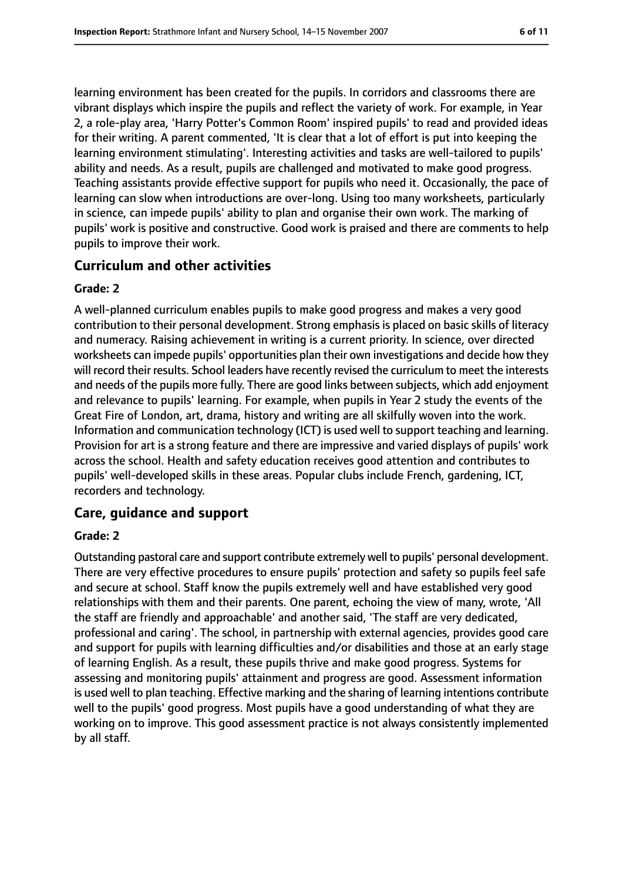learning environment has been created for the pupils. In corridors and classrooms there are vibrant displays which inspire the pupils and reflect the variety of work. For example, in Year 2, a role-play area, 'Harry Potter's Common Room' inspired pupils' to read and provided ideas for their writing. A parent commented, 'It is clear that a lot of effort is put into keeping the learning environment stimulating'. Interesting activities and tasks are well-tailored to pupils' ability and needs. As a result, pupils are challenged and motivated to make good progress. Teaching assistants provide effective support for pupils who need it. Occasionally, the pace of learning can slow when introductions are over-long. Using too many worksheets, particularly in science, can impede pupils' ability to plan and organise their own work. The marking of pupils' work is positive and constructive. Good work is praised and there are comments to help pupils to improve their work.

## **Curriculum and other activities**

#### **Grade: 2**

A well-planned curriculum enables pupils to make good progress and makes a very good contribution to their personal development. Strong emphasis is placed on basic skills of literacy and numeracy. Raising achievement in writing is a current priority. In science, over directed worksheets can impede pupils' opportunities plan their own investigations and decide how they will record their results. School leaders have recently revised the curriculum to meet the interests and needs of the pupils more fully. There are good links between subjects, which add enjoyment and relevance to pupils' learning. For example, when pupils in Year 2 study the events of the Great Fire of London, art, drama, history and writing are all skilfully woven into the work. Information and communication technology (ICT) is used well to support teaching and learning. Provision for art is a strong feature and there are impressive and varied displays of pupils' work across the school. Health and safety education receives good attention and contributes to pupils' well-developed skills in these areas. Popular clubs include French, gardening, ICT, recorders and technology.

#### **Care, guidance and support**

#### **Grade: 2**

Outstanding pastoral care and support contribute extremely well to pupils' personal development. There are very effective procedures to ensure pupils' protection and safety so pupils feel safe and secure at school. Staff know the pupils extremely well and have established very good relationships with them and their parents. One parent, echoing the view of many, wrote, 'All the staff are friendly and approachable' and another said, 'The staff are very dedicated, professional and caring'. The school, in partnership with external agencies, provides good care and support for pupils with learning difficulties and/or disabilities and those at an early stage of learning English. As a result, these pupils thrive and make good progress. Systems for assessing and monitoring pupils' attainment and progress are good. Assessment information is used well to plan teaching. Effective marking and the sharing of learning intentions contribute well to the pupils' good progress. Most pupils have a good understanding of what they are working on to improve. This good assessment practice is not always consistently implemented by all staff.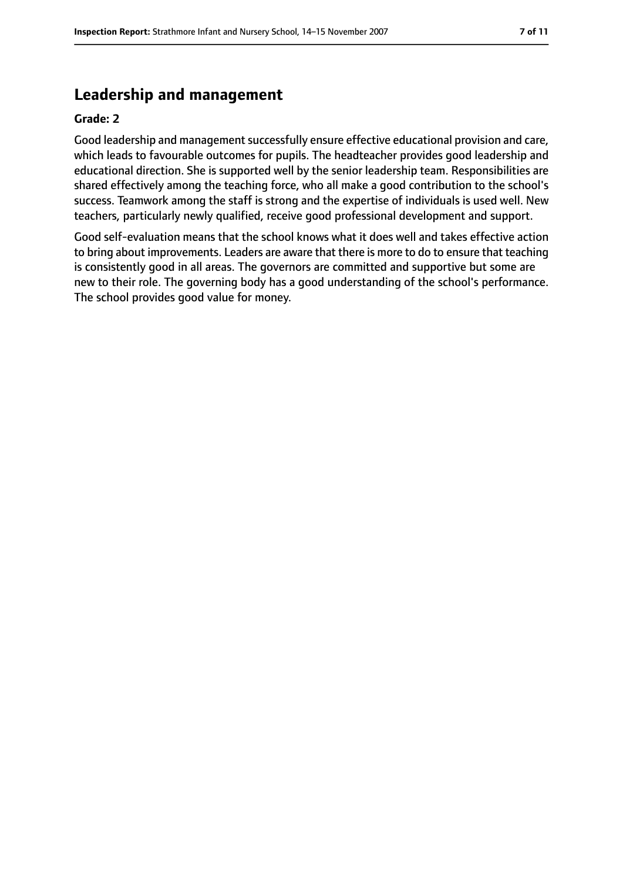# **Leadership and management**

#### **Grade: 2**

Good leadership and management successfully ensure effective educational provision and care, which leads to favourable outcomes for pupils. The headteacher provides good leadership and educational direction. She is supported well by the senior leadership team. Responsibilities are shared effectively among the teaching force, who all make a good contribution to the school's success. Teamwork among the staff is strong and the expertise of individuals is used well. New teachers, particularly newly qualified, receive good professional development and support.

Good self-evaluation means that the school knows what it does well and takes effective action to bring about improvements. Leaders are aware that there is more to do to ensure that teaching is consistently good in all areas. The governors are committed and supportive but some are new to their role. The governing body has a good understanding of the school's performance. The school provides good value for money.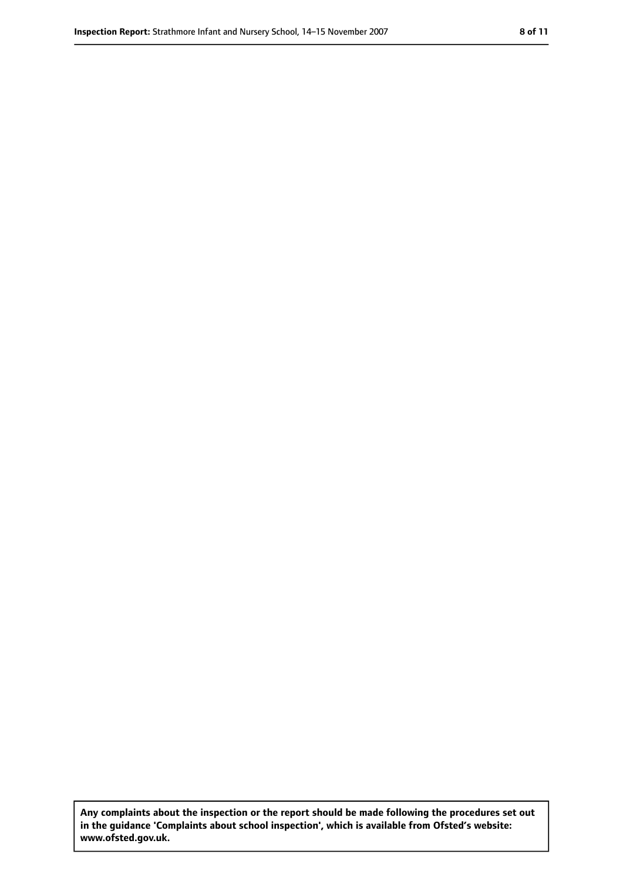**Any complaints about the inspection or the report should be made following the procedures set out in the guidance 'Complaints about school inspection', which is available from Ofsted's website: www.ofsted.gov.uk.**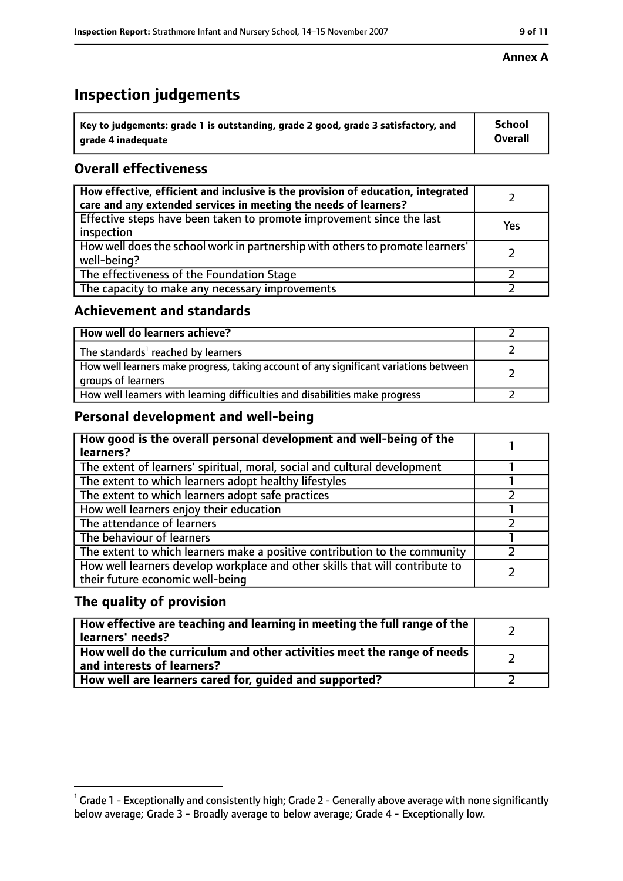# **Inspection judgements**

| $^{\backprime}$ Key to judgements: grade 1 is outstanding, grade 2 good, grade 3 satisfactory, and | <b>School</b>  |
|----------------------------------------------------------------------------------------------------|----------------|
| arade 4 inadeguate                                                                                 | <b>Overall</b> |

## **Overall effectiveness**

| How effective, efficient and inclusive is the provision of education, integrated<br>care and any extended services in meeting the needs of learners? |     |
|------------------------------------------------------------------------------------------------------------------------------------------------------|-----|
| Effective steps have been taken to promote improvement since the last<br>inspection                                                                  | Yes |
| How well does the school work in partnership with others to promote learners'<br>well-being?                                                         |     |
| The effectiveness of the Foundation Stage                                                                                                            |     |
| The capacity to make any necessary improvements                                                                                                      |     |

#### **Achievement and standards**

| How well do learners achieve?                                                                               |  |
|-------------------------------------------------------------------------------------------------------------|--|
| The standards <sup>1</sup> reached by learners                                                              |  |
| How well learners make progress, taking account of any significant variations between<br>groups of learners |  |
| How well learners with learning difficulties and disabilities make progress                                 |  |

## **Personal development and well-being**

| How good is the overall personal development and well-being of the<br>learners?                                  |  |
|------------------------------------------------------------------------------------------------------------------|--|
| The extent of learners' spiritual, moral, social and cultural development                                        |  |
| The extent to which learners adopt healthy lifestyles                                                            |  |
| The extent to which learners adopt safe practices                                                                |  |
| How well learners enjoy their education                                                                          |  |
| The attendance of learners                                                                                       |  |
| The behaviour of learners                                                                                        |  |
| The extent to which learners make a positive contribution to the community                                       |  |
| How well learners develop workplace and other skills that will contribute to<br>their future economic well-being |  |

## **The quality of provision**

| How effective are teaching and learning in meeting the full range of the<br>learners' needs?          |  |
|-------------------------------------------------------------------------------------------------------|--|
| How well do the curriculum and other activities meet the range of needs<br>and interests of learners? |  |
| How well are learners cared for, guided and supported?                                                |  |

#### **Annex A**

 $^1$  Grade 1 - Exceptionally and consistently high; Grade 2 - Generally above average with none significantly below average; Grade 3 - Broadly average to below average; Grade 4 - Exceptionally low.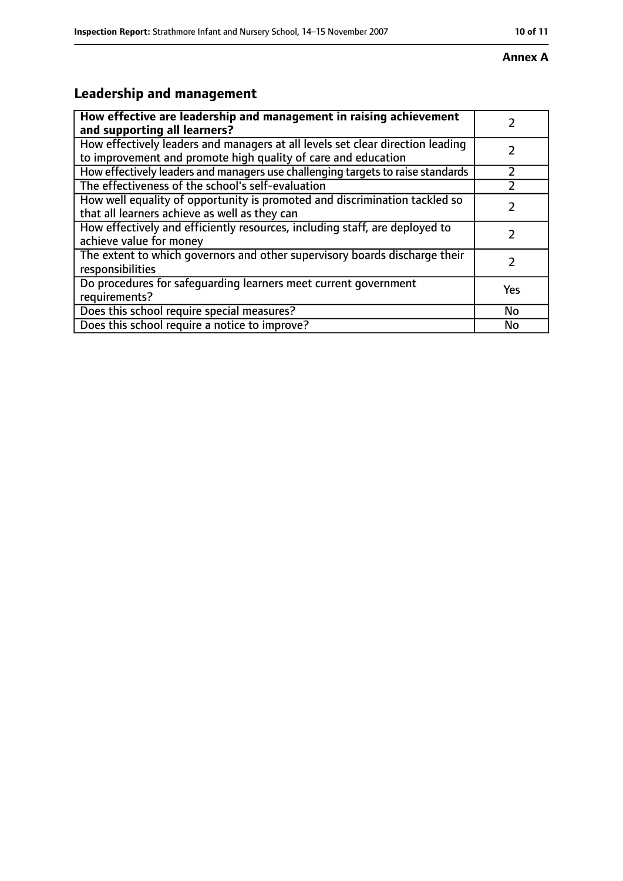#### **Annex A**

# **Leadership and management**

| How effective are leadership and management in raising achievement                                                                              |           |
|-------------------------------------------------------------------------------------------------------------------------------------------------|-----------|
| and supporting all learners?                                                                                                                    |           |
| How effectively leaders and managers at all levels set clear direction leading<br>to improvement and promote high quality of care and education |           |
| How effectively leaders and managers use challenging targets to raise standards                                                                 |           |
| The effectiveness of the school's self-evaluation                                                                                               |           |
| How well equality of opportunity is promoted and discrimination tackled so<br>that all learners achieve as well as they can                     |           |
| How effectively and efficiently resources, including staff, are deployed to<br>achieve value for money                                          | 7         |
| The extent to which governors and other supervisory boards discharge their<br>responsibilities                                                  | フ         |
| Do procedures for safequarding learners meet current government<br>requirements?                                                                | Yes       |
| Does this school require special measures?                                                                                                      | <b>No</b> |
| Does this school require a notice to improve?                                                                                                   | No        |